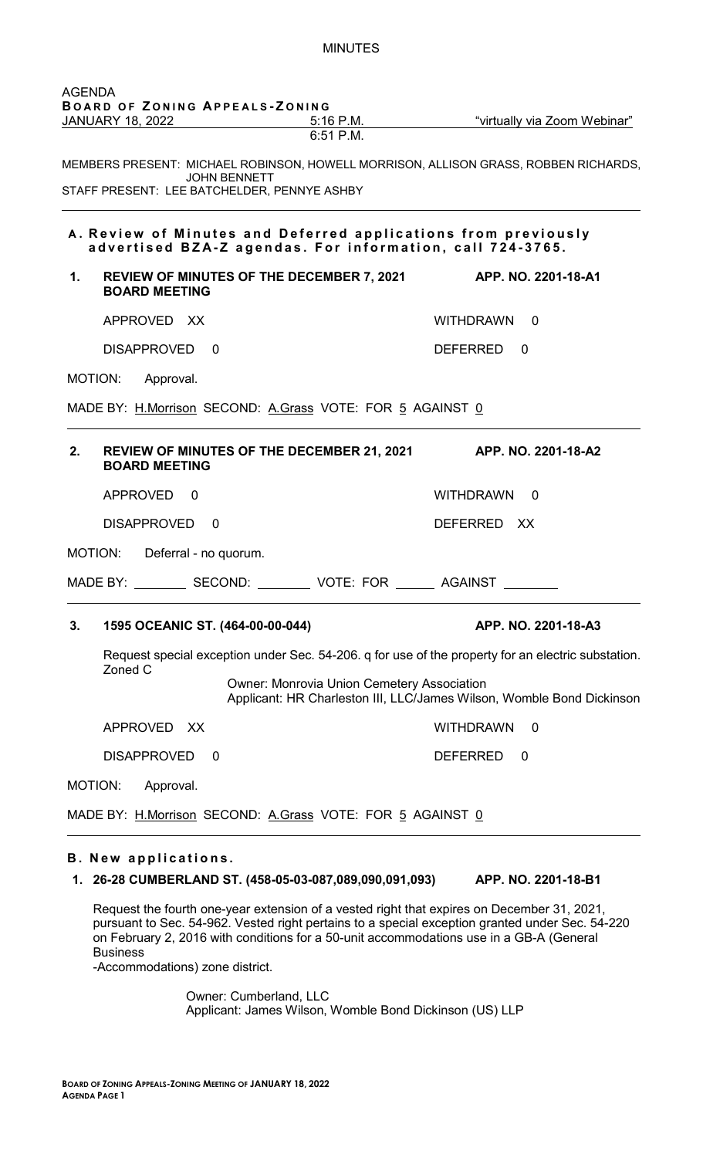|    | BOARD OF ZONING APPEALS-ZONING<br><u>JANUARY 18, 2022 _________</u>                                                         |                                                   | 5:16 P.M. ""virtually via Zoom Webinar"                                                            |
|----|-----------------------------------------------------------------------------------------------------------------------------|---------------------------------------------------|----------------------------------------------------------------------------------------------------|
|    |                                                                                                                             | $6:51$ P.M.                                       |                                                                                                    |
|    | <b>JOHN BENNETT</b><br>STAFF PRESENT: LEE BATCHELDER, PENNYE ASHBY                                                          |                                                   | MEMBERS PRESENT: MICHAEL ROBINSON, HOWELL MORRISON, ALLISON GRASS, ROBBEN RICHARDS,                |
|    | A. Review of Minutes and Deferred applications from previously<br>advertised BZA-Z agendas. For information, call 724-3765. |                                                   |                                                                                                    |
| 1. | <b>REVIEW OF MINUTES OF THE DECEMBER 7, 2021</b><br><b>BOARD MEETING</b>                                                    |                                                   | APP. NO. 2201-18-A1                                                                                |
|    | APPROVED XX                                                                                                                 |                                                   | <b>WITHDRAWN</b><br>$\Box$ 0                                                                       |
|    | <b>DISAPPROVED</b><br>$\Omega$                                                                                              |                                                   | DEFERRED<br>$\Omega$                                                                               |
|    | MOTION:<br>Approval.                                                                                                        |                                                   |                                                                                                    |
|    | MADE BY: H.Morrison SECOND: A.Grass VOTE: FOR 5 AGAINST 0                                                                   |                                                   |                                                                                                    |
| 2. | REVIEW OF MINUTES OF THE DECEMBER 21, 2021 APP. NO. 2201-18-A2<br><b>BOARD MEETING</b>                                      |                                                   |                                                                                                    |
|    | APPROVED 0                                                                                                                  |                                                   | WITHDRAWN 0                                                                                        |
|    | <b>DISAPPROVED</b><br>0                                                                                                     |                                                   | DEFERRED XX                                                                                        |
|    | MOTION:<br>Deferral - no quorum.                                                                                            |                                                   |                                                                                                    |
|    | MADE BY:<br>SECOND:                                                                                                         | VOTE: FOR                                         | <b>AGAINST</b>                                                                                     |
| 3. | 1595 OCEANIC ST. (464-00-00-044)                                                                                            |                                                   | APP. NO. 2201-18-A3                                                                                |
|    |                                                                                                                             |                                                   | Request special exception under Sec. 54-206. q for use of the property for an electric substation. |
|    | Zoned C                                                                                                                     | <b>Owner: Monrovia Union Cemetery Association</b> | Applicant: HR Charleston III, LLC/James Wilson, Womble Bond Dickinson                              |
|    |                                                                                                                             |                                                   |                                                                                                    |
|    | APPROVED XX                                                                                                                 |                                                   | <b>WITHDRAWN</b><br>$\mathbf 0$                                                                    |
|    | <b>DISAPPROVED</b><br>$\Omega$                                                                                              |                                                   | <b>DEFERRED</b><br>0                                                                               |
|    | MOTION:<br>Approval.                                                                                                        |                                                   |                                                                                                    |

MINUTES

**1. 26-28 CUMBERLAND ST. (458-05-03-087,089,090,091,093) APP. NO. 2201-18-B1**

Request the fourth one-year extension of a vested right that expires on December 31, 2021, pursuant to Sec. 54-962. Vested right pertains to a special exception granted under Sec. 54-220 on February 2, 2016 with conditions for a 50-unit accommodations use in a GB-A (General Business

-Accommodations) zone district.

Owner: Cumberland, LLC Applicant: James Wilson, Womble Bond Dickinson (US) LLP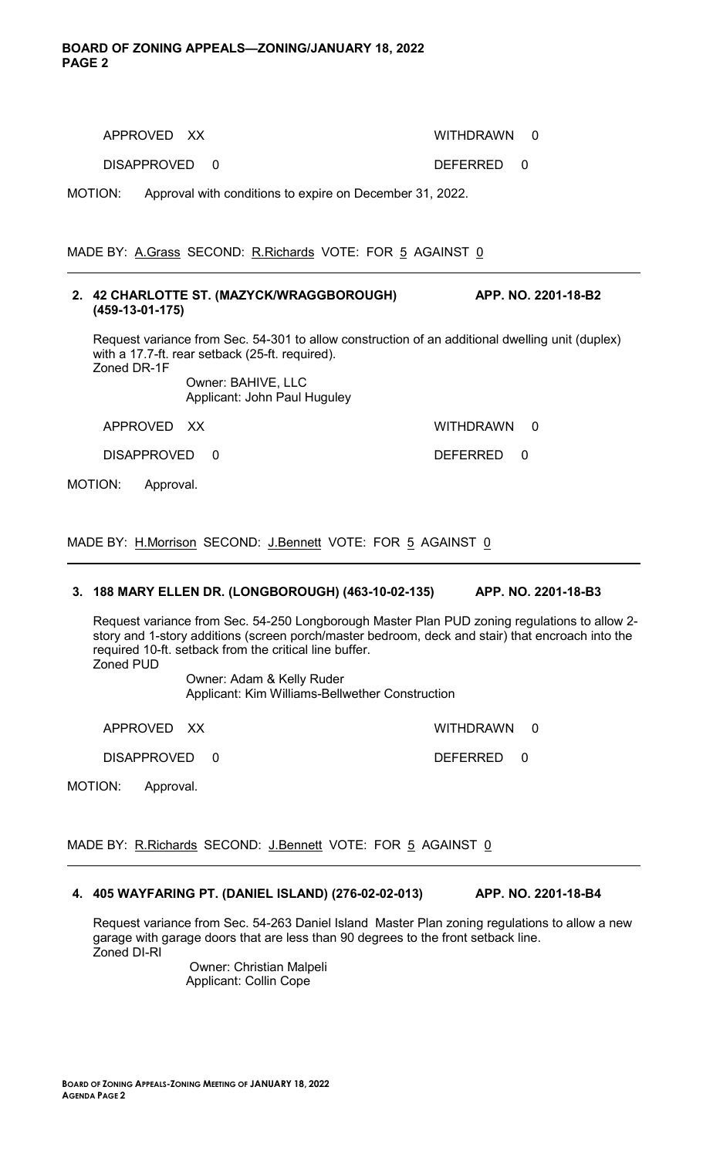DISAPPROVED 0 DEFERRED 0

MOTION: Approval with conditions to expire on December 31, 2022.

MADE BY: A.Grass SECOND: R.Richards VOTE: FOR 5 AGAINST 0

#### **2. 42 CHARLOTTE ST. (MAZYCK/WRAGGBOROUGH) APP. NO. 2201-18-B2 (459-13-01-175)**

Request variance from Sec. 54-301 to allow construction of an additional dwelling unit (duplex) with a 17.7-ft. rear setback (25-ft. required). Zoned DR-1F

Owner: BAHIVE, LLC Applicant: John Paul Huguley

APPROVED XX WITHDRAWN 0

DISAPPROVED 0 DEFERRED 0

MOTION: Approval.

MADE BY: H.Morrison SECOND: J.Bennett VOTE: FOR 5 AGAINST 0

# **3. 188 MARY ELLEN DR. (LONGBOROUGH) (463-10-02-135) APP. NO. 2201-18-B3**

Request variance from Sec. 54-250 Longborough Master Plan PUD zoning regulations to allow 2 story and 1-story additions (screen porch/master bedroom, deck and stair) that encroach into the required 10-ft. setback from the critical line buffer. Zoned PUD

Owner: Adam & Kelly Ruder Applicant: Kim Williams-Bellwether Construction

APPROVED XX WITHDRAWN 0

DISAPPROVED 0 DEFERRED 0

MOTION: Approval.

MADE BY: R.Richards SECOND: J.Bennett VOTE: FOR 5 AGAINST 0

### **4. 405 WAYFARING PT. (DANIEL ISLAND) (276-02-02-013) APP. NO. 2201-18-B4**

Request variance from Sec. 54-263 Daniel Island Master Plan zoning regulations to allow a new garage with garage doors that are less than 90 degrees to the front setback line. Zoned DI-RI

> Owner: Christian Malpeli Applicant: Collin Cope

APPROVED XX WITHDRAWN 0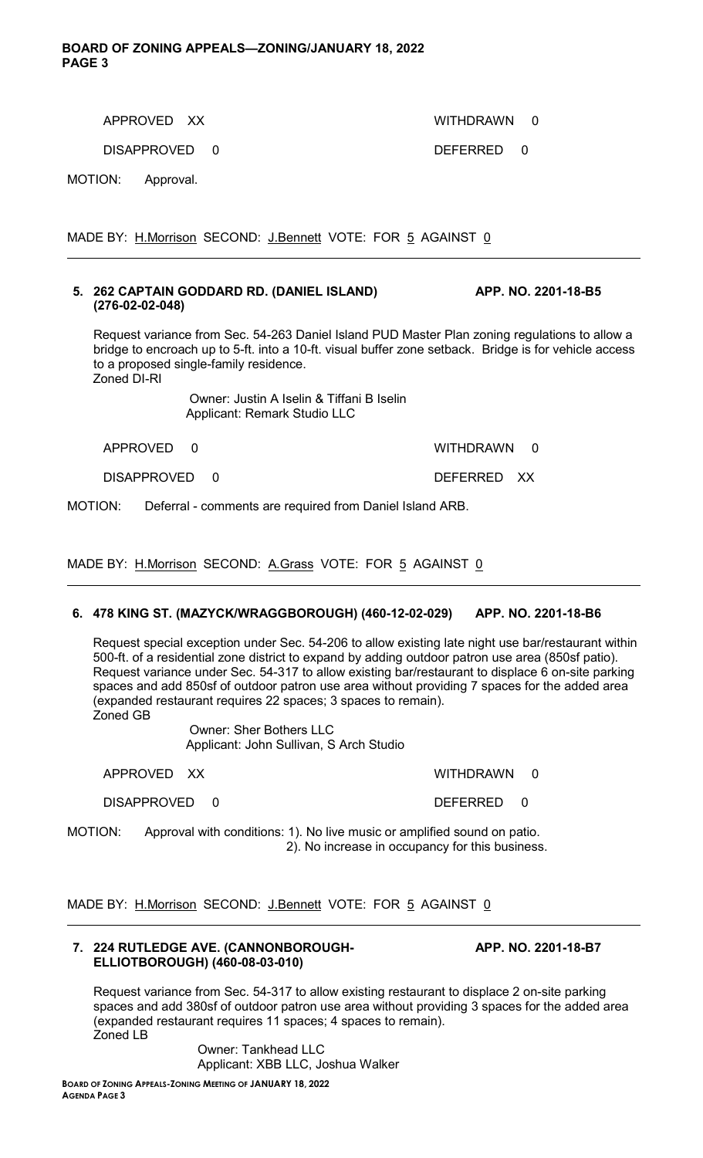### **BOARD OF ZONING APPEALS—ZONING/JANUARY 18, 2022 PAGE 3**

DISAPPROVED 0 DEFERRED 0

APPROVED XX WITHDRAWN 0

MOTION: Approval.

MADE BY: H.Morrison SECOND: J.Bennett VOTE: FOR 5 AGAINST 0

# **5. 262 CAPTAIN GODDARD RD. (DANIEL ISLAND) APP. NO. 2201-18-B5 (276-02-02-048)**

Request variance from Sec. 54-263 Daniel Island PUD Master Plan zoning regulations to allow a bridge to encroach up to 5-ft. into a 10-ft. visual buffer zone setback. Bridge is for vehicle access to a proposed single-family residence. Zoned DI-RI

> Owner: Justin A Iselin & Tiffani B Iselin Applicant: Remark Studio LLC

| APPROVED |  | WITHDRAWN |  |
|----------|--|-----------|--|
|          |  |           |  |

DISAPPROVED 0 DEFERRED XX

MOTION: Deferral - comments are required from Daniel Island ARB.

MADE BY: H.Morrison SECOND: A.Grass VOTE: FOR 5 AGAINST 0

# **6. 478 KING ST. (MAZYCK/WRAGGBOROUGH) (460-12-02-029) APP. NO. 2201-18-B6**

Request special exception under Sec. 54-206 to allow existing late night use bar/restaurant within 500-ft. of a residential zone district to expand by adding outdoor patron use area (850sf patio). Request variance under Sec. 54-317 to allow existing bar/restaurant to displace 6 on-site parking spaces and add 850sf of outdoor patron use area without providing 7 spaces for the added area (expanded restaurant requires 22 spaces; 3 spaces to remain). Zoned GB

> Owner: Sher Bothers LLC Applicant: John Sullivan, S Arch Studio

APPROVED XX WITHDRAWN 0

DISAPPROVED 0 DEFERRED 0

MOTION: Approval with conditions: 1). No live music or amplified sound on patio. 2). No increase in occupancy for this business.

MADE BY: H.Morrison SECOND: J.Bennett VOTE: FOR 5 AGAINST 0

### **7. 224 RUTLEDGE AVE. (CANNONBOROUGH- APP. NO. 2201-18-B7 ELLIOTBOROUGH) (460-08-03-010)**

Request variance from Sec. 54-317 to allow existing restaurant to displace 2 on-site parking spaces and add 380sf of outdoor patron use area without providing 3 spaces for the added area (expanded restaurant requires 11 spaces; 4 spaces to remain). Zoned LB

> Owner: Tankhead LLC Applicant: XBB LLC, Joshua Walker